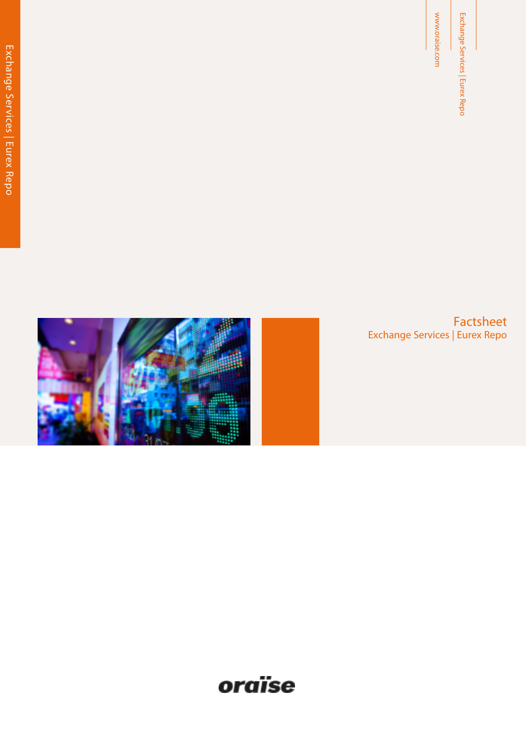Exchange Services | Eurex Repo

Exchange Services | Eurex Repo



Factsheet Exchange Services | Eurex Repo

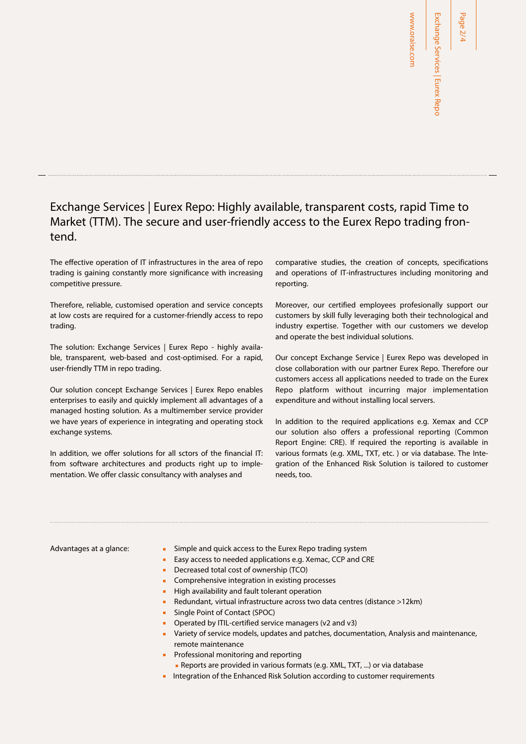## Exchange Services | Eurex Repo: Highly available, transparent costs, rapid Time to Market (TTM). The secure and user-friendly access to the Eurex Repo trading frontend. **Example the Endample interval interval in the Endample CIRE (The Endample Service and USE)**<br> **Example 2013** The Endample Service Solution according to the Endample Services and the Endample Services intervalses and perce

The effective operation of IT infrastructures in the area of repo trading is gaining constantly more significance with increasing competitive pressure.

Therefore, reliable, customised operation and service concepts at low costs are required for a customer-friendly access to repo trading.

The solution: Exchange Services | Eurex Repo - highly available, transparent, web-based and cost-optimised. For a rapid, user-friendly TTM in repo trading.

Our solution concept Exchange Services | Eurex Repo enables enterprises to easily and quickly implement all advantages of a managed hosting solution. As a multimember service provider we have years of experience in integrating and operating stock exchange systems.

In addition, we offer solutions for all sctors of the financial IT: from software architectures and products right up to implementation. We offer classic consultancy with analyses and

comparative studies, the creation of concepts, specifications and operations of IT-infrastructures including monitoring and reporting.

Moreover, our certified employees profesionally support our customers by skill fully leveraging both their technological and industry expertise. Together with our customers we develop and operate the best individual solutions.

Our concept Exchange Service | Eurex Repo was developed in close collaboration with our partner Eurex Repo. Therefore our customers access all applications needed to trade on the Eurex Repo platform without incurring major implementation expenditure and without installing local servers.

In addition to the required applications e.g. Xemax and CCP our solution also offers a professional reporting (Common Report Engine: CRE). If required the reporting is available in various formats (e.g. XML, TXT, etc. ) or via database. The Integration of the Enhanced Risk Solution is tailored to customer needs, too.

Advantages at a glance: ■ Simple and quick access to the Eurex Repo trading system

- Easy access to needed applications e.g. Xemac, CCP and CRE
- Decreased total cost of ownership (TCO)
- Comprehensive integration in existing processes
- High availability and fault tolerant operation
- Redundant, virtual infrastructure across two data centres (distance >12km)
- Single Point of Contact (SPOC)
- Operated by ITIL-certified service managers (v2 and v3)
- Variety of service models, updates and patches, documentation, Analysis and maintenance, remote maintenance
- Professional monitoring and reporting
	- Reports are provided in various formats (e.g. XML, TXT, ...) or via database
-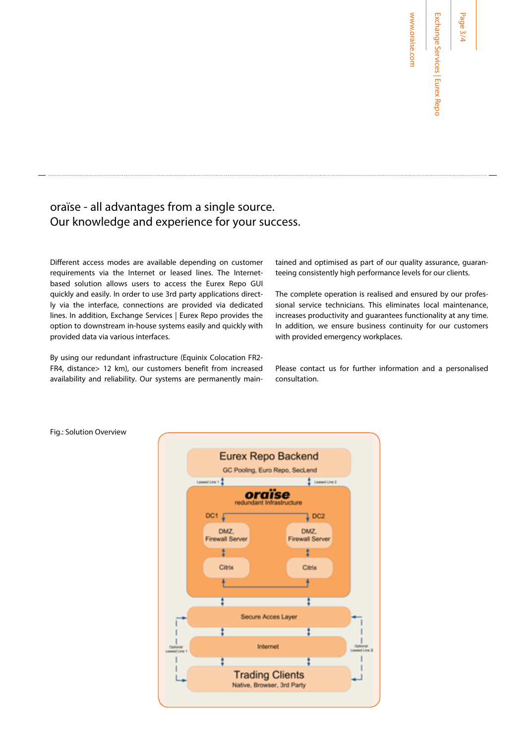Page 3/4

www.oraise.com

www.oraise.com

## oraïse - all advantages from a single source. Our knowledge and experience for your success.

Different access modes are available depending on customer requirements via the Internet or leased lines. The Internetbased solution allows users to access the Eurex Repo GUI quickly and easily. In order to use 3rd party applications directly via the interface, connections are provided via dedicated lines. In addition, Exchange Services | Eurex Repo provides the option to downstream in-house systems easily and quickly with provided data via various interfaces.

By using our redundant infrastructure (Equinix Colocation FR2- FR4, distance> 12 km), our customers benefit from increased availability and reliability. Our systems are permanently maintained and optimised as part of our quality assurance, guaranteeing consistently high performance levels for our clients.

The complete operation is realised and ensured by our professional service technicians. This eliminates local maintenance, increases productivity and guarantees functionality at any time. In addition, we ensure business continuity for our customers with provided emergency workplaces.

Please contact us for further information and a personalised consultation.